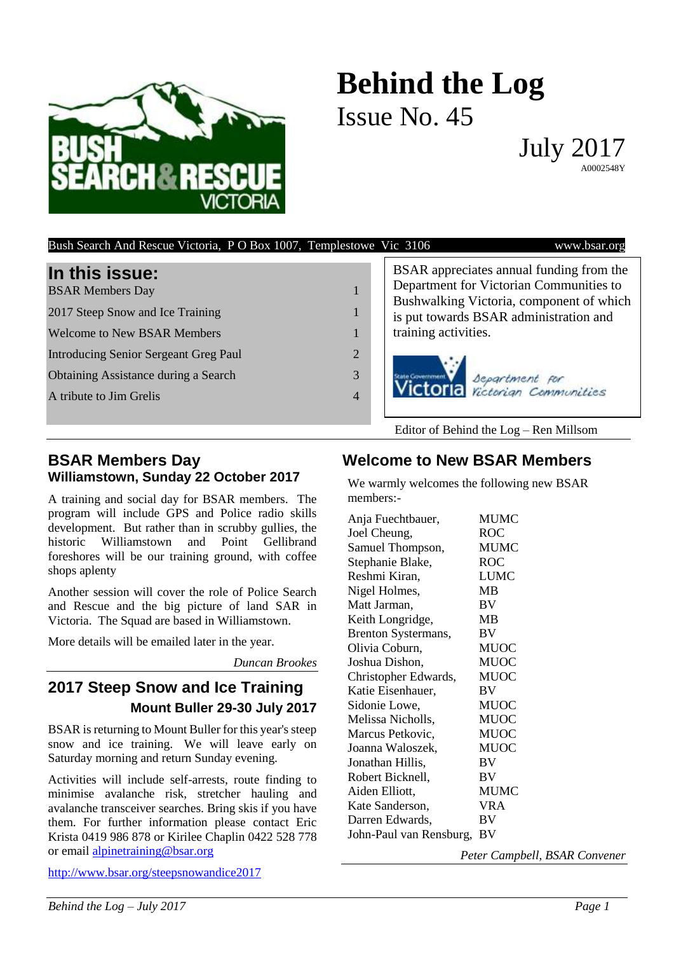

# **Behind the Log** Issue No. 45

July 2017 A0002548Y

| Bush Search And Rescue Victoria, P O Box 1007, Templestowe Vic 3106                                                                                                                                                |                     | www.bsar.org                                                                                                                                                                                                                 |
|--------------------------------------------------------------------------------------------------------------------------------------------------------------------------------------------------------------------|---------------------|------------------------------------------------------------------------------------------------------------------------------------------------------------------------------------------------------------------------------|
| In this issue:<br><b>BSAR Members Day</b><br>2017 Steep Snow and Ice Training<br><b>Welcome to New BSAR Members</b><br><b>Introducing Senior Sergeant Greg Paul</b><br><b>Obtaining Assistance during a Search</b> | $\overline{2}$<br>3 | BSAR appreciates annual funding from the<br>Department for Victorian Communities to<br>Bushwalking Victoria, component of which<br>is put towards BSAR administration and<br>training activities.<br>Victoria Separtment for |
| A tribute to Jim Grelis                                                                                                                                                                                            | 4                   |                                                                                                                                                                                                                              |
|                                                                                                                                                                                                                    |                     | Editor of Behind the $Log$ – Ren Millsom                                                                                                                                                                                     |

#### **BSAR Members Day Williamstown, Sunday 22 October 2017**

A training and social day for BSAR members. The program will include GPS and Police radio skills development. But rather than in scrubby gullies, the historic Williamstown and Point Gellibrand foreshores will be our training ground, with coffee shops aplenty

Another session will cover the role of Police Search and Rescue and the big picture of land SAR in Victoria. The Squad are based in Williamstown.

More details will be emailed later in the year.

*Duncan Brookes*

### **2017 Steep Snow and Ice Training Mount Buller 29-30 July 2017**

BSAR is returning to Mount Buller for this year's steep snow and ice training. We will leave early on Saturday morning and return Sunday evening.

Activities will include self-arrests, route finding to minimise avalanche risk, stretcher hauling and avalanche transceiver searches. Bring skis if you have them. For further information please contact Eric Krista 0419 986 878 or Kirilee Chaplin 0422 528 778 or email [alpinetraining@bsar.org](mailto:alpinetraining@bsar.org)

<http://www.bsar.org/steepsnowandice2017>

### **Welcome to New BSAR Members**

We warmly welcomes the following new BSAR members:-

| Anja Fuechtbauer,       | <b>MUMC</b> |
|-------------------------|-------------|
| Joel Cheung,            | <b>ROC</b>  |
| Samuel Thompson,        | <b>MUMC</b> |
| Stephanie Blake,        | <b>ROC</b>  |
| Reshmi Kiran,           | <b>LUMC</b> |
| Nigel Holmes,           | <b>MB</b>   |
| Matt Jarman,            | BV          |
| Keith Longridge,        | MB          |
| Brenton Systermans,     | BV          |
| Olivia Coburn,          | <b>MUOC</b> |
| Joshua Dishon,          | <b>MUOC</b> |
| Christopher Edwards,    | <b>MUOC</b> |
| Katie Eisenhauer,       | BV          |
| Sidonie Lowe,           | <b>MUOC</b> |
| Melissa Nicholls,       | <b>MUOC</b> |
| Marcus Petkovic,        | <b>MUOC</b> |
| Joanna Waloszek,        | <b>MUOC</b> |
| Jonathan Hillis,        | BV          |
| Robert Bicknell,        | BV          |
| Aiden Elliott,          | <b>MUMC</b> |
| Kate Sanderson,         | <b>VRA</b>  |
| Darren Edwards,         | BV          |
| John-Paul van Rensburg, | BV          |
|                         |             |

*Peter Campbell, BSAR Convener*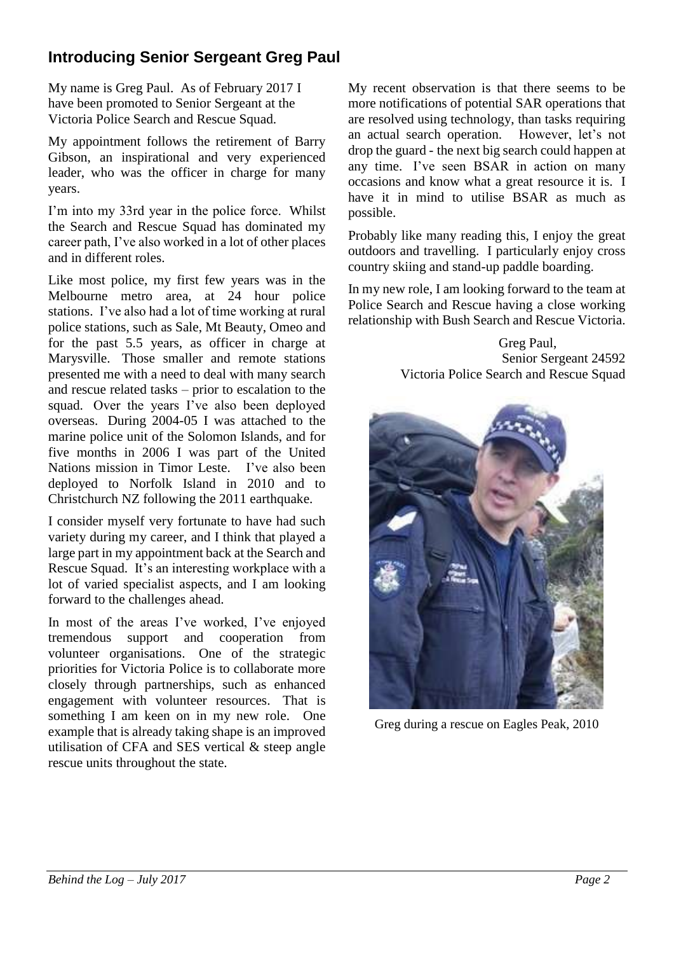## **Introducing Senior Sergeant Greg Paul**

My name is Greg Paul. As of February 2017 I have been promoted to Senior Sergeant at the Victoria Police Search and Rescue Squad.

My appointment follows the retirement of Barry Gibson, an inspirational and very experienced leader, who was the officer in charge for many years.

I'm into my 33rd year in the police force. Whilst the Search and Rescue Squad has dominated my career path, I've also worked in a lot of other places and in different roles.

Like most police, my first few years was in the Melbourne metro area, at 24 hour police stations. I've also had a lot of time working at rural police stations, such as Sale, Mt Beauty, Omeo and for the past 5.5 years, as officer in charge at Marysville. Those smaller and remote stations presented me with a need to deal with many search and rescue related tasks – prior to escalation to the squad. Over the years I've also been deployed overseas. During 2004-05 I was attached to the marine police unit of the Solomon Islands, and for five months in 2006 I was part of the United Nations mission in Timor Leste. I've also been deployed to Norfolk Island in 2010 and to Christchurch NZ following the 2011 earthquake.

I consider myself very fortunate to have had such variety during my career, and I think that played a large part in my appointment back at the Search and Rescue Squad. It's an interesting workplace with a lot of varied specialist aspects, and I am looking forward to the challenges ahead.

In most of the areas I've worked, I've enjoyed tremendous support and cooperation from volunteer organisations. One of the strategic priorities for Victoria Police is to collaborate more closely through partnerships, such as enhanced engagement with volunteer resources. That is something I am keen on in my new role. One example that is already taking shape is an improved utilisation of CFA and SES vertical & steep angle rescue units throughout the state.

My recent observation is that there seems to be more notifications of potential SAR operations that are resolved using technology, than tasks requiring an actual search operation. However, let's not drop the guard - the next big search could happen at any time. I've seen BSAR in action on many occasions and know what a great resource it is. I have it in mind to utilise BSAR as much as possible.

Probably like many reading this, I enjoy the great outdoors and travelling. I particularly enjoy cross country skiing and stand-up paddle boarding.

In my new role, I am looking forward to the team at Police Search and Rescue having a close working relationship with Bush Search and Rescue Victoria.

> Greg Paul, Senior Sergeant 24592 Victoria Police Search and Rescue Squad



Greg during a rescue on Eagles Peak, 2010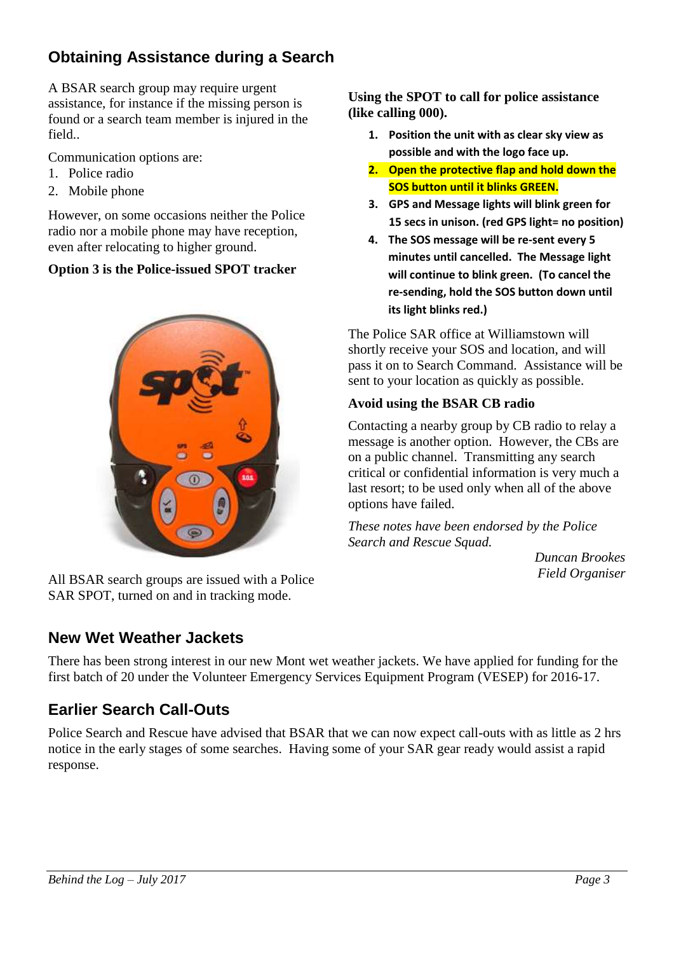## **Obtaining Assistance during a Search**

A BSAR search group may require urgent assistance, for instance if the missing person is found or a search team member is injured in the field..

Communication options are:

- 1. Police radio
- 2. Mobile phone

However, on some occasions neither the Police radio nor a mobile phone may have reception, even after relocating to higher ground.

#### **Option 3 is the Police-issued SPOT tracker**



All BSAR search groups are issued with a Police SAR SPOT, turned on and in tracking mode.

## **New Wet Weather Jackets**

**Using the SPOT to call for police assistance (like calling 000).**

- **1. Position the unit with as clear sky view as possible and with the logo face up.**
- **2. Open the protective flap and hold down the SOS button until it blinks GREEN.**
- **3. GPS and Message lights will blink green for 15 secs in unison. (red GPS light= no position)**
- **4. The SOS message will be re-sent every 5 minutes until cancelled. The Message light will continue to blink green. (To cancel the re-sending, hold the SOS button down until its light blinks red.)**

The Police SAR office at Williamstown will shortly receive your SOS and location, and will pass it on to Search Command. Assistance will be sent to your location as quickly as possible.

### **Avoid using the BSAR CB radio**

Contacting a nearby group by CB radio to relay a message is another option. However, the CBs are on a public channel. Transmitting any search critical or confidential information is very much a last resort; to be used only when all of the above options have failed.

*These notes have been endorsed by the Police Search and Rescue Squad.*

*Duncan Brookes Field Organiser*

There has been strong interest in our new Mont wet weather jackets. We have applied for funding for the first batch of 20 under the Volunteer Emergency Services Equipment Program (VESEP) for 2016-17.

## **Earlier Search Call-Outs**

Police Search and Rescue have advised that BSAR that we can now expect call-outs with as little as 2 hrs notice in the early stages of some searches. Having some of your SAR gear ready would assist a rapid response.